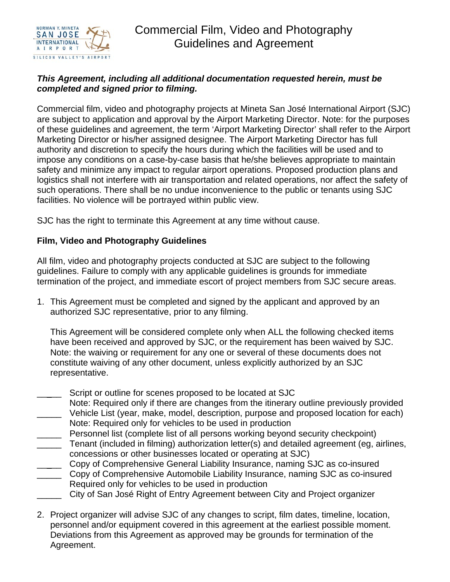

## *This Agreement, including all additional documentation requested herein, must be completed and signed prior to filming.*

Commercial film, video and photography projects at Mineta San José International Airport (SJC) are subject to application and approval by the Airport Marketing Director. Note: for the purposes of these guidelines and agreement, the term 'Airport Marketing Director' shall refer to the Airport Marketing Director or his/her assigned designee. The Airport Marketing Director has full authority and discretion to specify the hours during which the facilities will be used and to impose any conditions on a case-by-case basis that he/she believes appropriate to maintain safety and minimize any impact to regular airport operations. Proposed production plans and logistics shall not interfere with air transportation and related operations, nor affect the safety of such operations. There shall be no undue inconvenience to the public or tenants using SJC facilities. No violence will be portrayed within public view.

SJC has the right to terminate this Agreement at any time without cause.

## **Film, Video and Photography Guidelines**

All film, video and photography projects conducted at SJC are subject to the following guidelines. Failure to comply with any applicable guidelines is grounds for immediate termination of the project, and immediate escort of project members from SJC secure areas.

1. This Agreement must be completed and signed by the applicant and approved by an authorized SJC representative, prior to any filming.

This Agreement will be considered complete only when ALL the following checked items have been received and approved by SJC, or the requirement has been waived by SJC. Note: the waiving or requirement for any one or several of these documents does not constitute waiving of any other document, unless explicitly authorized by an SJC representative.

- Script or outline for scenes proposed to be located at SJC
- Note: Required only if there are changes from the itinerary outline previously provided Vehicle List (year, make, model, description, purpose and proposed location for each)
- Note: Required only for vehicles to be used in production
- \_\_\_\_\_ Personnel list (complete list of all persons working beyond security checkpoint)
- \_\_\_\_\_ Tenant (included in filming) authorization letter(s) and detailed agreement (eg, airlines, concessions or other businesses located or operating at SJC)
- \_\_\_\_\_ Copy of Comprehensive General Liability Insurance, naming SJC as co-insured
- \_\_\_\_\_ Copy of Comprehensive Automobile Liability Insurance, naming SJC as co-insured Required only for vehicles to be used in production
- City of San José Right of Entry Agreement between City and Project organizer
- 2. Project organizer will advise SJC of any changes to script, film dates, timeline, location, personnel and/or equipment covered in this agreement at the earliest possible moment. Deviations from this Agreement as approved may be grounds for termination of the Agreement.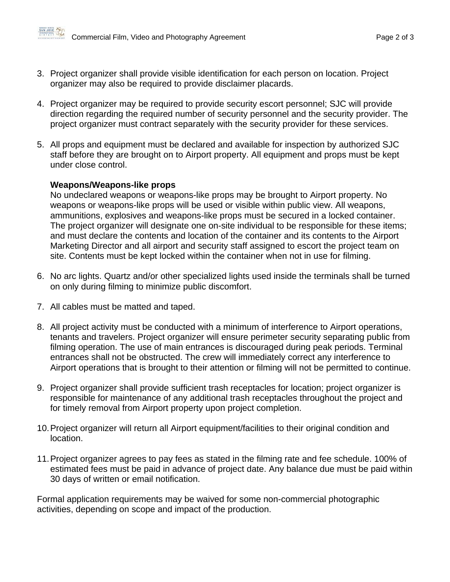

- 3. Project organizer shall provide visible identification for each person on location. Project organizer may also be required to provide disclaimer placards.
- 4. Project organizer may be required to provide security escort personnel; SJC will provide direction regarding the required number of security personnel and the security provider. The project organizer must contract separately with the security provider for these services.
- 5. All props and equipment must be declared and available for inspection by authorized SJC staff before they are brought on to Airport property. All equipment and props must be kept under close control.

## **Weapons/Weapons-like props**

No undeclared weapons or weapons-like props may be brought to Airport property. No weapons or weapons-like props will be used or visible within public view. All weapons, ammunitions, explosives and weapons-like props must be secured in a locked container. The project organizer will designate one on-site individual to be responsible for these items; and must declare the contents and location of the container and its contents to the Airport Marketing Director and all airport and security staff assigned to escort the project team on site. Contents must be kept locked within the container when not in use for filming.

- 6. No arc lights. Quartz and/or other specialized lights used inside the terminals shall be turned on only during filming to minimize public discomfort.
- 7. All cables must be matted and taped.
- 8. All project activity must be conducted with a minimum of interference to Airport operations, tenants and travelers. Project organizer will ensure perimeter security separating public from filming operation. The use of main entrances is discouraged during peak periods. Terminal entrances shall not be obstructed. The crew will immediately correct any interference to Airport operations that is brought to their attention or filming will not be permitted to continue.
- 9. Project organizer shall provide sufficient trash receptacles for location; project organizer is responsible for maintenance of any additional trash receptacles throughout the project and for timely removal from Airport property upon project completion.
- 10. Project organizer will return all Airport equipment/facilities to their original condition and location.
- 11. Project organizer agrees to pay fees as stated in the filming rate and fee schedule. 100% of estimated fees must be paid in advance of project date. Any balance due must be paid within 30 days of written or email notification.

Formal application requirements may be waived for some non-commercial photographic activities, depending on scope and impact of the production.